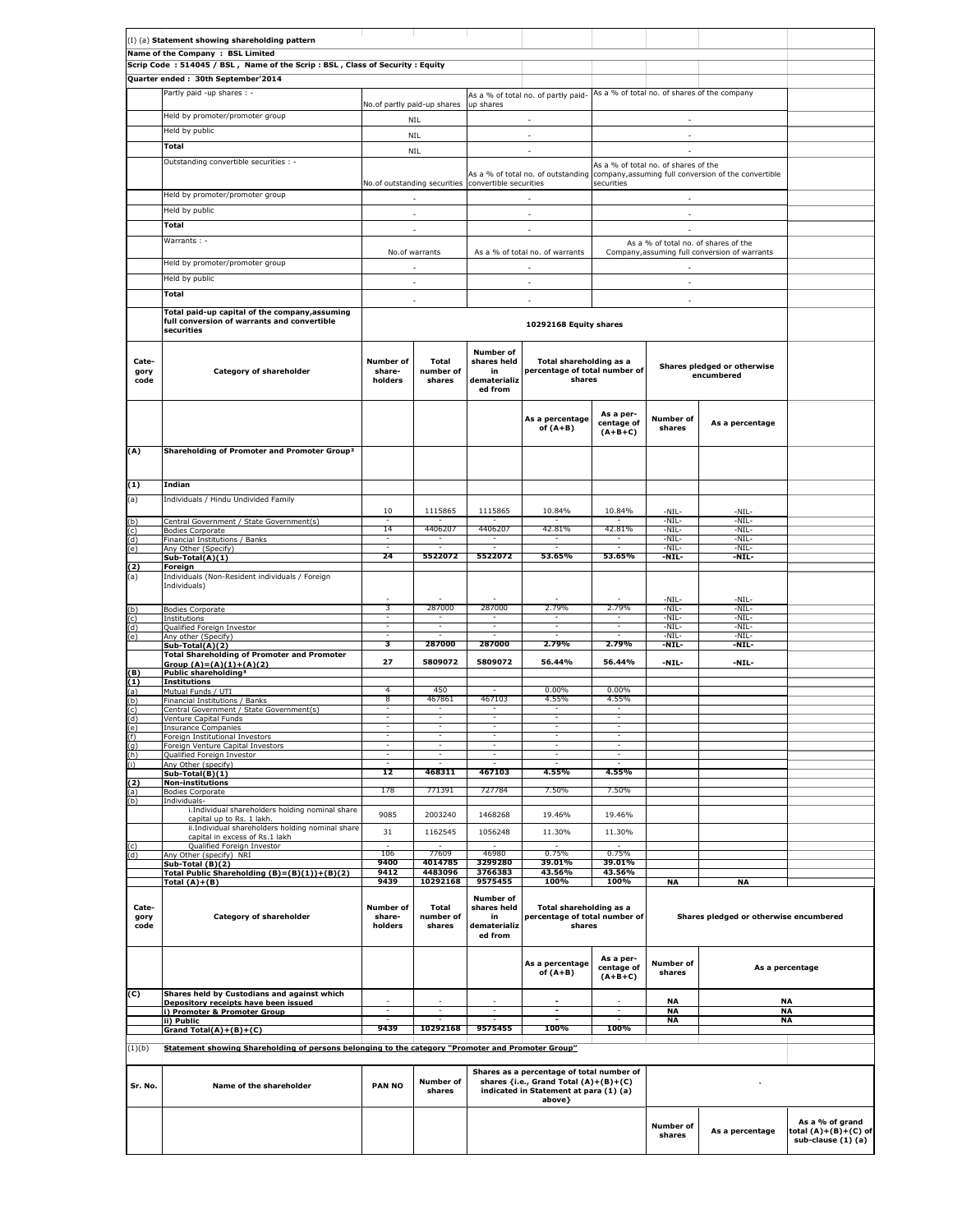|                       | (I) (a) Statement showing shareholding pattern                                                                              |                                       |                              |                                                                  |                                                                                                                                        |                                      |                                           |                                                                                         |                                                               |
|-----------------------|-----------------------------------------------------------------------------------------------------------------------------|---------------------------------------|------------------------------|------------------------------------------------------------------|----------------------------------------------------------------------------------------------------------------------------------------|--------------------------------------|-------------------------------------------|-----------------------------------------------------------------------------------------|---------------------------------------------------------------|
|                       | Name of the Company : BSL Limited<br>Scrip Code: 514045 / BSL, Name of the Scrip: BSL, Class of Security: Equity            |                                       |                              |                                                                  |                                                                                                                                        |                                      |                                           |                                                                                         |                                                               |
|                       | Quarter ended: 30th September'2014                                                                                          |                                       |                              |                                                                  |                                                                                                                                        |                                      |                                           |                                                                                         |                                                               |
|                       | Partly paid -up shares : -                                                                                                  |                                       |                              |                                                                  | As a % of total no. of partly paid- As a % of total no. of shares of the company                                                       |                                      |                                           |                                                                                         |                                                               |
|                       | Held by promoter/promoter group                                                                                             | No.of partly paid-up shares           |                              | up shares                                                        | ×.                                                                                                                                     |                                      | ×.                                        |                                                                                         |                                                               |
|                       | Held by public                                                                                                              |                                       | <b>NIL</b><br>NIL            |                                                                  | $\sim$                                                                                                                                 |                                      | $\sim$                                    |                                                                                         |                                                               |
|                       | Total                                                                                                                       |                                       | <b>NIL</b>                   |                                                                  | ×.                                                                                                                                     |                                      | ÷.                                        |                                                                                         |                                                               |
|                       | Outstanding convertible securities : -                                                                                      |                                       |                              |                                                                  |                                                                                                                                        |                                      | As a % of total no. of shares of the      |                                                                                         |                                                               |
|                       |                                                                                                                             |                                       |                              | No.of outstanding securities convertible securities              |                                                                                                                                        | securities                           |                                           | As a % of total no. of outstanding company, assuming full conversion of the convertible |                                                               |
|                       | Held by promoter/promoter group                                                                                             |                                       | ÷.                           |                                                                  | ÷.                                                                                                                                     |                                      | $\sim$                                    |                                                                                         |                                                               |
|                       | Held by public                                                                                                              |                                       | $\overline{\phantom{a}}$     |                                                                  | $\overline{\phantom{a}}$                                                                                                               |                                      | $\overline{\phantom{a}}$                  |                                                                                         |                                                               |
|                       | Total                                                                                                                       |                                       | $\overline{\phantom{a}}$     |                                                                  | ×.                                                                                                                                     |                                      | ×.                                        |                                                                                         |                                                               |
|                       | Warrants: -                                                                                                                 |                                       |                              |                                                                  |                                                                                                                                        |                                      |                                           | As a % of total no. of shares of the                                                    |                                                               |
|                       | Held by promoter/promoter group                                                                                             |                                       | No.of warrants<br>÷.         |                                                                  | As a % of total no. of warrants<br>×.                                                                                                  |                                      | $\overline{\phantom{a}}$                  | Company, assuming full conversion of warrants                                           |                                                               |
|                       | Held by public                                                                                                              |                                       | $\sim$                       |                                                                  | $\epsilon$                                                                                                                             |                                      | ×.                                        |                                                                                         |                                                               |
|                       | Total                                                                                                                       |                                       | ÷                            |                                                                  | ÷                                                                                                                                      |                                      | ÷.                                        |                                                                                         |                                                               |
|                       | Total paid-up capital of the company, assuming                                                                              |                                       |                              |                                                                  |                                                                                                                                        |                                      |                                           |                                                                                         |                                                               |
|                       | full conversion of warrants and convertible<br>securities                                                                   |                                       |                              |                                                                  | 10292168 Equity shares                                                                                                                 |                                      |                                           |                                                                                         |                                                               |
| Cate-<br>gory<br>code | Category of shareholder                                                                                                     | Number of<br>share-<br>holders        | Total<br>number of<br>shares | <b>Number of</b><br>shares held<br>in<br>dematerializ<br>ed from | Total shareholding as a<br>percentage of total number of<br>shares                                                                     |                                      | Shares pledged or otherwise<br>encumbered |                                                                                         |                                                               |
| (A)                   | Shareholding of Promoter and Promoter Group <sup>2</sup>                                                                    |                                       |                              |                                                                  | As a percentage<br>of $(A+B)$                                                                                                          | As a per-<br>centage of<br>$(A+B+C)$ | <b>Number of</b><br>shares                | As a percentage                                                                         |                                                               |
|                       |                                                                                                                             |                                       |                              |                                                                  |                                                                                                                                        |                                      |                                           |                                                                                         |                                                               |
| (1)                   | Indian                                                                                                                      |                                       |                              |                                                                  |                                                                                                                                        |                                      |                                           |                                                                                         |                                                               |
| (a)                   | Individuals / Hindu Undivided Family                                                                                        | 10                                    | 1115865                      | 1115865                                                          | 10.84%                                                                                                                                 | 10.84%                               | -NIL-                                     | -NIL-                                                                                   |                                                               |
| (b)                   | Central Government / State Government(s)                                                                                    | 14                                    | 4406207                      | 4406207                                                          | 42.81%                                                                                                                                 | 42.81%                               | -NIL-<br>$-NIL-$                          | $-NIL-$<br>$-NIL-$                                                                      |                                                               |
| (c)<br>(d)            | <b>Bodies Corporate</b><br>Financial Institutions / Banks                                                                   |                                       |                              |                                                                  |                                                                                                                                        |                                      | -NIL-                                     | -NIL-                                                                                   |                                                               |
| (e)                   | Any Other (Specify)<br>Sub-Total(A)(1)                                                                                      | 24                                    | 5522072                      | 5522072                                                          | 53.65%                                                                                                                                 | 53.65%                               | -NIL-<br>-NIL-                            | -NIL-<br>-NIL-                                                                          |                                                               |
| (2)<br>(a)            | Foreign<br>Individuals (Non-Resident individuals / Foreign                                                                  |                                       |                              |                                                                  |                                                                                                                                        |                                      |                                           |                                                                                         |                                                               |
|                       | Individuals)                                                                                                                |                                       |                              |                                                                  |                                                                                                                                        |                                      |                                           |                                                                                         |                                                               |
| (b)                   | <b>Bodies Corporate</b>                                                                                                     | 3                                     | 287000                       | 287000                                                           | 2.79%                                                                                                                                  | 2.79%                                | $-NIL-$<br>$-NIL-$                        | $-NIL-$<br>-NIL-                                                                        |                                                               |
| (c)<br>(d)            | Institutions<br>Qualified Foreign Investor                                                                                  | Ξ                                     | Ξ<br>Ξ                       | Ξ                                                                | H                                                                                                                                      | H                                    | $-NIL-$<br>-NIL-                          | -NIL-<br>-NIL-                                                                          |                                                               |
| (e)                   | Any other (Specify)<br>Sub-Total(A)(2)                                                                                      | 3                                     | 287000                       | 287000                                                           | 2.79%                                                                                                                                  | 2.79%                                | -NIL-<br>-NIL-                            | -NIL-<br>-NIL-                                                                          |                                                               |
|                       | <b>Total Shareholding of Promoter and Promoter</b><br>Group $(A)=(A)(1)+(A)(2)$                                             | 27                                    | 5809072                      | 5809072                                                          | 56.44%                                                                                                                                 | 56.44%                               | -NIL-                                     | -NIL-                                                                                   |                                                               |
| (B)                   | Public shareholding <sup>3</sup>                                                                                            |                                       |                              |                                                                  |                                                                                                                                        |                                      |                                           |                                                                                         |                                                               |
| (1)<br>(a)            | <b>Institutions</b><br>Mutual Funds / UTI                                                                                   | 4                                     | 450                          |                                                                  | 0.00%                                                                                                                                  | $0.00\%$                             |                                           |                                                                                         |                                                               |
| (b)<br>(c)            | Financial Institutions / Banks<br>Central Government / State Government(s)                                                  | 8<br>$\overline{\phantom{a}}$         | 467861<br>٠                  | 467103<br>ъ,                                                     | 4.55%<br>$\sim$                                                                                                                        | 4.55%<br>Ξ.                          |                                           |                                                                                         |                                                               |
| (d)                   | Venture Capital Funds<br>Insurance Companies                                                                                |                                       | Ξ                            | Ξ                                                                |                                                                                                                                        | Ξ                                    |                                           |                                                                                         |                                                               |
|                       | Foreign Institutional Investors                                                                                             |                                       |                              |                                                                  |                                                                                                                                        |                                      |                                           |                                                                                         |                                                               |
| (g)<br>(h)            | Foreign Venture Capital Investors<br>Qualified Foreign Investor                                                             |                                       |                              |                                                                  |                                                                                                                                        |                                      |                                           |                                                                                         |                                                               |
|                       | Any Other (specify)<br>Sub-Total(B)(1)                                                                                      | 12                                    | 468311                       | 467103                                                           | 4.55%                                                                                                                                  | 4.55%                                |                                           |                                                                                         |                                                               |
| (2)<br>(a)            | <b>Non-institutions</b><br><b>Bodies Corporate</b>                                                                          | 178                                   | 771391                       | 727784                                                           | 7.50%                                                                                                                                  | 7.50%                                |                                           |                                                                                         |                                                               |
| (b)                   | Individuals-<br>i.Individual shareholders holding nominal share                                                             |                                       |                              |                                                                  |                                                                                                                                        |                                      |                                           |                                                                                         |                                                               |
|                       | capital up to Rs. 1 lakh<br>ii.Individual shareholders holding nominal share                                                | 9085                                  | 2003240                      | 1468268                                                          | 19.46%                                                                                                                                 | 19.46%                               |                                           |                                                                                         |                                                               |
| (c)                   | capital in excess of Rs.1 lakh                                                                                              | 31                                    | 1162545                      | 1056248                                                          | 11.30%                                                                                                                                 | 11.30%                               |                                           |                                                                                         |                                                               |
| (d)                   | Qualified Foreign Investor<br>Any Other (specify) NRI                                                                       | 106                                   | 77609                        | 46980                                                            | 0.75%                                                                                                                                  | 0.75%                                |                                           |                                                                                         |                                                               |
|                       | Sub-Total (B)(2)<br>Total Public Shareholding (B)=(B)(1))+(B)(2)                                                            | 9400<br>9412                          | 4014785<br>4483096           | 3299280<br>3766383                                               | 39.01%<br>43.56%                                                                                                                       | 39.01%<br>43.56%                     |                                           |                                                                                         |                                                               |
|                       | Total $(A)+(B)$                                                                                                             | 9439                                  | 10292168                     | 9575455                                                          | 100%                                                                                                                                   | 100%                                 | <b>NA</b>                                 | <b>NA</b>                                                                               |                                                               |
| Cate-<br>gory<br>code | Category of shareholder                                                                                                     | <b>Number of</b><br>share-<br>holders | Total<br>number of<br>shares | <b>Number of</b><br>shares held<br>in<br>dematerializ<br>ed from | Total shareholding as a<br>percentage of total number of<br>shares                                                                     |                                      | Shares pledged or otherwise encumbered    |                                                                                         |                                                               |
| (C)                   | Shares held by Custodians and against which                                                                                 |                                       |                              |                                                                  | As a percentage<br>of $(A+B)$                                                                                                          | As a per-<br>centage of<br>$(A+B+C)$ | Number of<br>shares                       |                                                                                         | As a percentage                                               |
|                       | Depository receipts have been issued<br>i) Promoter & Promoter Group                                                        | ٠                                     |                              |                                                                  | ×.<br>$\blacksquare$                                                                                                                   | $\sim$                               | NA<br><b>NA</b>                           |                                                                                         | ΝA<br>NA                                                      |
|                       | ii) Public                                                                                                                  | 9439                                  | 10292168                     | 9575455                                                          | 100%                                                                                                                                   | 100%                                 | <b>NA</b>                                 |                                                                                         | <b>NA</b>                                                     |
| (1)(b)                | Grand Total(A)+(B)+(C)<br>Statement showing Shareholding of persons belonging to the category "Promoter and Promoter Group" |                                       |                              |                                                                  |                                                                                                                                        |                                      |                                           |                                                                                         |                                                               |
| Sr. No.               | Name of the shareholder                                                                                                     | <b>PAN NO</b>                         | <b>Number of</b><br>shares   |                                                                  | Shares as a percentage of total number of<br>shares {i.e., Grand Total (A)+(B)+(C)<br>indicated in Statement at para (1) (a)<br>above} |                                      |                                           |                                                                                         |                                                               |
|                       |                                                                                                                             |                                       |                              |                                                                  |                                                                                                                                        |                                      | Number of<br>shares                       | As a percentage                                                                         | As a % of grand<br>total (A)+(B)+(C) of<br>sub-clause (1) (a) |